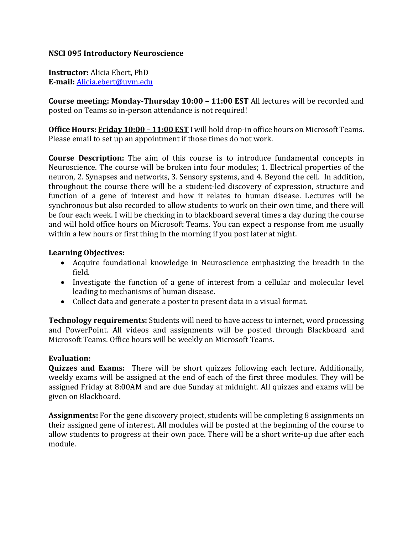## **NSCI 095 Introductory Neuroscience**

**Instructor:** Alicia Ebert, PhD **E-mail:** [Alicia.ebert@uvm.edu](mailto:Alicia.ebert@uvm.edu)

**Course meeting: Monday-Thursday 10:00 – 11:00 EST** All lectures will be recorded and posted on Teams so in-person attendance is not required!

**Office Hours: Friday 10:00 – 11:00 EST** I will hold drop-in office hours on Microsoft Teams. Please email to set up an appointment if those times do not work.

**Course Description:** The aim of this course is to introduce fundamental concepts in Neuroscience. The course will be broken into four modules; 1. Electrical properties of the neuron, 2. Synapses and networks, 3. Sensory systems, and 4. Beyond the cell. In addition, throughout the course there will be a student-led discovery of expression, structure and function of a gene of interest and how it relates to human disease. Lectures will be synchronous but also recorded to allow students to work on their own time, and there will be four each week. I will be checking in to blackboard several times a day during the course and will hold office hours on Microsoft Teams. You can expect a response from me usually within a few hours or first thing in the morning if you post later at night.

#### **Learning Objectives:**

- Acquire foundational knowledge in Neuroscience emphasizing the breadth in the field.
- Investigate the function of a gene of interest from a cellular and molecular level leading to mechanisms of human disease.
- Collect data and generate a poster to present data in a visual format.

**Technology requirements:** Students will need to have access to internet, word processing and PowerPoint. All videos and assignments will be posted through Blackboard and Microsoft Teams. Office hours will be weekly on Microsoft Teams.

#### **Evaluation:**

**Quizzes and Exams:** There will be short quizzes following each lecture. Additionally, weekly exams will be assigned at the end of each of the first three modules. They will be assigned Friday at 8:00AM and are due Sunday at midnight. All quizzes and exams will be given on Blackboard.

**Assignments:** For the gene discovery project, students will be completing 8 assignments on their assigned gene of interest. All modules will be posted at the beginning of the course to allow students to progress at their own pace. There will be a short write-up due after each module.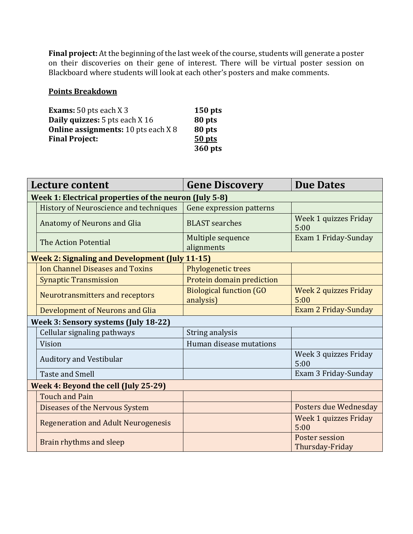**Final project:** At the beginning of the last week of the course, students will generate a poster on their discoveries on their gene of interest. There will be virtual poster session on Blackboard where students will look at each other's posters and make comments.

# **Points Breakdown**

| <b>Exams:</b> 50 pts each $X$ 3            | $150$ pts |
|--------------------------------------------|-----------|
| <b>Daily quizzes:</b> 5 pts each X 16      | 80 pts    |
| <b>Online assignments: 10 pts each X 8</b> | 80 pts    |
| <b>Final Project:</b>                      | $50$ pts  |
|                                            | 360 pts   |

|                                                        | Lecture content                            | <b>Gene Discovery</b>                       | <b>Due Dates</b>                     |  |
|--------------------------------------------------------|--------------------------------------------|---------------------------------------------|--------------------------------------|--|
| Week 1: Electrical properties of the neuron (July 5-8) |                                            |                                             |                                      |  |
|                                                        | History of Neuroscience and techniques     | Gene expression patterns                    |                                      |  |
|                                                        | Anatomy of Neurons and Glia                | <b>BLAST</b> searches                       | Week 1 quizzes Friday<br>5:00        |  |
|                                                        | The Action Potential                       | Multiple sequence<br>alignments             | Exam 1 Friday-Sunday                 |  |
| <b>Week 2: Signaling and Development (July 11-15)</b>  |                                            |                                             |                                      |  |
|                                                        | <b>Ion Channel Diseases and Toxins</b>     | Phylogenetic trees                          |                                      |  |
|                                                        | <b>Synaptic Transmission</b>               | Protein domain prediction                   |                                      |  |
|                                                        | Neurotransmitters and receptors            | <b>Biological function (GO</b><br>analysis) | <b>Week 2 quizzes Friday</b><br>5:00 |  |
|                                                        | Development of Neurons and Glia            |                                             | Exam 2 Friday-Sunday                 |  |
| Week 3: Sensory systems (July 18-22)                   |                                            |                                             |                                      |  |
|                                                        | Cellular signaling pathways                | String analysis                             |                                      |  |
|                                                        | Vision                                     | Human disease mutations                     |                                      |  |
|                                                        | <b>Auditory and Vestibular</b>             |                                             | Week 3 quizzes Friday<br>5:00        |  |
|                                                        | <b>Taste and Smell</b>                     |                                             | Exam 3 Friday-Sunday                 |  |
| Week 4: Beyond the cell (July 25-29)                   |                                            |                                             |                                      |  |
|                                                        | <b>Touch and Pain</b>                      |                                             |                                      |  |
|                                                        | Diseases of the Nervous System             |                                             | Posters due Wednesday                |  |
|                                                        | <b>Regeneration and Adult Neurogenesis</b> |                                             | <b>Week 1 quizzes Friday</b><br>5:00 |  |
|                                                        | Brain rhythms and sleep                    |                                             | Poster session<br>Thursday-Friday    |  |